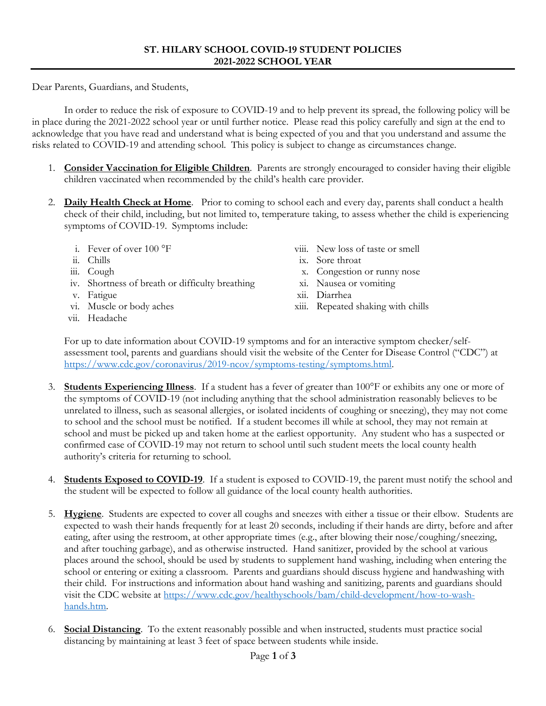Dear Parents, Guardians, and Students,

In order to reduce the risk of exposure to COVID-19 and to help prevent its spread, the following policy will be in place during the 2021-2022 school year or until further notice. Please read this policy carefully and sign at the end to acknowledge that you have read and understand what is being expected of you and that you understand and assume the risks related to COVID-19 and attending school. This policy is subject to change as circumstances change.

- 1. **Consider Vaccination for Eligible Children**. Parents are strongly encouraged to consider having their eligible children vaccinated when recommended by the child's health care provider.
- 2. **Daily Health Check at Home**. Prior to coming to school each and every day, parents shall conduct a health check of their child, including, but not limited to, temperature taking, to assess whether the child is experiencing symptoms of COVID-19. Symptoms include:
	- i. Fever of over 100 °F
	- ii. Chills
	- iii. Cough
	- iv. Shortness of breath or difficulty breathing
	- v. Fatigue
	- vi. Muscle or body aches
	- vii. Headache
- viii. New loss of taste or smell
- ix. Sore throat
- x. Congestion or runny nose
- xi. Nausea or vomiting
- xii. Diarrhea
- xiii. Repeated shaking with chills

For up to date information about COVID-19 symptoms and for an interactive symptom checker/selfassessment tool, parents and guardians should visit the website of the Center for Disease Control ("CDC") at [https://www.cdc.gov/coronavirus/2019-ncov/symptoms-testing/symptoms.html.](https://www.cdc.gov/coronavirus/2019-ncov/symptoms-testing/symptoms.html)

- 3. **Students Experiencing Illness**. If a student has a fever of greater than 100°F or exhibits any one or more of the symptoms of COVID-19 (not including anything that the school administration reasonably believes to be unrelated to illness, such as seasonal allergies, or isolated incidents of coughing or sneezing), they may not come to school and the school must be notified. If a student becomes ill while at school, they may not remain at school and must be picked up and taken home at the earliest opportunity. Any student who has a suspected or confirmed case of COVID-19 may not return to school until such student meets the local county health authority's criteria for returning to school.
- 4. **Students Exposed to COVID-19**. If a student is exposed to COVID-19, the parent must notify the school and the student will be expected to follow all guidance of the local county health authorities.
- 5. **Hygiene**. Students are expected to cover all coughs and sneezes with either a tissue or their elbow. Students are expected to wash their hands frequently for at least 20 seconds, including if their hands are dirty, before and after eating, after using the restroom, at other appropriate times (e.g., after blowing their nose/coughing/sneezing, and after touching garbage), and as otherwise instructed. Hand sanitizer, provided by the school at various places around the school, should be used by students to supplement hand washing, including when entering the school or entering or exiting a classroom. Parents and guardians should discuss hygiene and handwashing with their child. For instructions and information about hand washing and sanitizing, parents and guardians should visit the CDC website at [https://www.cdc.gov/healthyschools/bam/child-development/how-to-wash](https://www.cdc.gov/healthyschools/bam/child-development/how-to-wash-hands.htm)[hands.htm.](https://www.cdc.gov/healthyschools/bam/child-development/how-to-wash-hands.htm)
- 6. **Social Distancing**. To the extent reasonably possible and when instructed, students must practice social distancing by maintaining at least 3 feet of space between students while inside.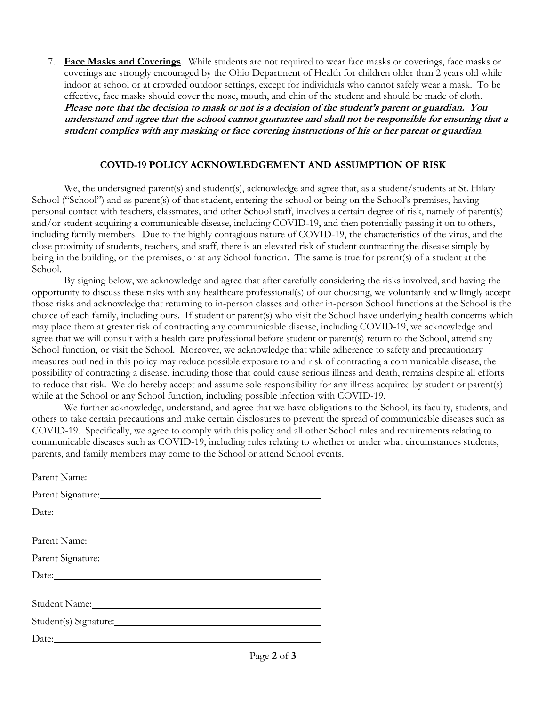7. **Face Masks and Coverings**. While students are not required to wear face masks or coverings, face masks or coverings are strongly encouraged by the Ohio Department of Health for children older than 2 years old while indoor at school or at crowded outdoor settings, except for individuals who cannot safely wear a mask. To be effective, face masks should cover the nose, mouth, and chin of the student and should be made of cloth. **Please note that the decision to mask or not is a decision of the student's parent or guardian. You understand and agree that the school cannot guarantee and shall not be responsible for ensuring that a student complies with any masking or face covering instructions of his or her parent or guardian**.

## **COVID-19 POLICY ACKNOWLEDGEMENT AND ASSUMPTION OF RISK**

We, the undersigned parent(s) and student(s), acknowledge and agree that, as a student/students at St. Hilary School ("School") and as parent(s) of that student, entering the school or being on the School's premises, having personal contact with teachers, classmates, and other School staff, involves a certain degree of risk, namely of parent(s) and/or student acquiring a communicable disease, including COVID-19, and then potentially passing it on to others, including family members. Due to the highly contagious nature of COVID-19, the characteristics of the virus, and the close proximity of students, teachers, and staff, there is an elevated risk of student contracting the disease simply by being in the building, on the premises, or at any School function. The same is true for parent(s) of a student at the School.

By signing below, we acknowledge and agree that after carefully considering the risks involved, and having the opportunity to discuss these risks with any healthcare professional(s) of our choosing, we voluntarily and willingly accept those risks and acknowledge that returning to in-person classes and other in-person School functions at the School is the choice of each family, including ours. If student or parent(s) who visit the School have underlying health concerns which may place them at greater risk of contracting any communicable disease, including COVID-19, we acknowledge and agree that we will consult with a health care professional before student or parent(s) return to the School, attend any School function, or visit the School. Moreover, we acknowledge that while adherence to safety and precautionary measures outlined in this policy may reduce possible exposure to and risk of contracting a communicable disease, the possibility of contracting a disease, including those that could cause serious illness and death, remains despite all efforts to reduce that risk. We do hereby accept and assume sole responsibility for any illness acquired by student or parent(s) while at the School or any School function, including possible infection with COVID-19.

We further acknowledge, understand, and agree that we have obligations to the School, its faculty, students, and others to take certain precautions and make certain disclosures to prevent the spread of communicable diseases such as COVID-19. Specifically, we agree to comply with this policy and all other School rules and requirements relating to communicable diseases such as COVID-19, including rules relating to whether or under what circumstances students, parents, and family members may come to the School or attend School events.

| Parent Signature: Management Signature:                                                                                                                                                                                        |
|--------------------------------------------------------------------------------------------------------------------------------------------------------------------------------------------------------------------------------|
|                                                                                                                                                                                                                                |
|                                                                                                                                                                                                                                |
| Parent Name: Name:                                                                                                                                                                                                             |
| Parent Signature: Management Signature:                                                                                                                                                                                        |
|                                                                                                                                                                                                                                |
|                                                                                                                                                                                                                                |
| Student Name: Manner Communication of the Manner Communication of the Manner Communication of the Manner Communication of the Manner Communication of the Manner Communication of the Manner Communication of the Manner Commu |
|                                                                                                                                                                                                                                |
|                                                                                                                                                                                                                                |
|                                                                                                                                                                                                                                |